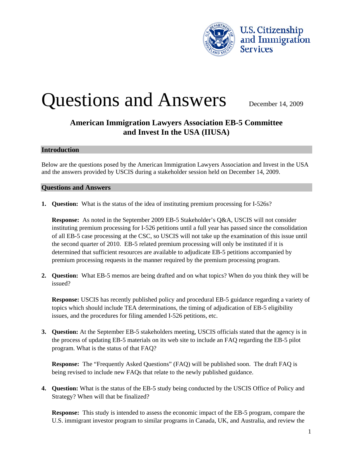

# Questions and Answers December 14, 2009

# **American Immigration Lawyers Association EB-5 Committee and Invest In the USA (IIUSA)**

### **Introduction**

Below are the questions posed by the American Immigration Lawyers Association and Invest in the USA and the answers provided by USCIS during a stakeholder session held on December 14, 2009.

# **Questions and Answers**

**1. Question:** What is the status of the idea of instituting premium processing for I-526s?

**Response:** As noted in the September 2009 EB-5 Stakeholder's Q&A, USCIS will not consider instituting premium processing for I-526 petitions until a full year has passed since the consolidation of all EB-5 case processing at the CSC, so USCIS will not take up the examination of this issue until the second quarter of 2010. EB-5 related premium processing will only be instituted if it is determined that sufficient resources are available to adjudicate EB-5 petitions accompanied by premium processing requests in the manner required by the premium processing program.

**2. Question:** What EB-5 memos are being drafted and on what topics? When do you think they will be issued?

**Response:** USCIS has recently published policy and procedural EB-5 guidance regarding a variety of topics which should include TEA determinations, the timing of adjudication of EB-5 eligibility issues, and the procedures for filing amended I-526 petitions, etc.

**3. Question:** At the September EB-5 stakeholders meeting, USCIS officials stated that the agency is in the process of updating EB-5 materials on its web site to include an FAQ regarding the EB-5 pilot program. What is the status of that FAQ?

**Response:** The "Frequently Asked Questions" (FAQ) will be published soon. The draft FAQ is being revised to include new FAQs that relate to the newly published guidance.

**4. Question:** What is the status of the EB-5 study being conducted by the USCIS Office of Policy and Strategy? When will that be finalized?

**Response:** This study is intended to assess the economic impact of the EB-5 program, compare the U.S. immigrant investor program to similar programs in Canada, UK, and Australia, and review the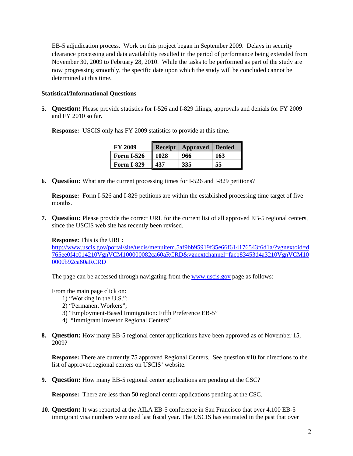EB-5 adjudication process. Work on this project began in September 2009. Delays in security clearance processing and data availability resulted in the period of performance being extended from November 30, 2009 to February 28, 2010. While the tasks to be performed as part of the study are now progressing smoothly, the specific date upon which the study will be concluded cannot be determined at this time.

# **Statistical/Informational Questions**

**5. Question:** Please provide statistics for I-526 and I-829 filings, approvals and denials for FY 2009 and FY 2010 so far.

**Response:** USCIS only has FY 2009 statistics to provide at this time.

| <b>FY 2009</b>    |      | Receipt   Approved   Denied |     |
|-------------------|------|-----------------------------|-----|
| <b>Form I-526</b> | 1028 | 966                         | 163 |
| <b>Form I-829</b> | 437  | 335                         | 55  |

**6. Question:** What are the current processing times for I-526 and I-829 petitions?

**Response:** Form I-526 and I-829 petitions are within the established processing time target of five months.

**7. Question:** Please provide the correct URL for the current list of all approved EB-5 regional centers, since the USCIS web site has recently been revised.

# **Response:** This is the URL:

[http://www.uscis.gov/portal/site/uscis/menuitem.5af9bb95919f35e66f614176543f6d1a/?vgnextoid=d](http://www.uscis.gov/portal/site/uscis/menuitem.5af9bb95919f35e66f614176543f6d1a/?vgnextoid=d765ee0f4c014210VgnVCM100000082ca60aRCRD&vgnextchannel=facb83453d4a3210VgnVCM100000b92ca60aRCRD) [765ee0f4c014210VgnVCM100000082ca60aRCRD&vgnextchannel=facb83453d4a3210VgnVCM10](http://www.uscis.gov/portal/site/uscis/menuitem.5af9bb95919f35e66f614176543f6d1a/?vgnextoid=d765ee0f4c014210VgnVCM100000082ca60aRCRD&vgnextchannel=facb83453d4a3210VgnVCM100000b92ca60aRCRD) [0000b92ca60aRCRD](http://www.uscis.gov/portal/site/uscis/menuitem.5af9bb95919f35e66f614176543f6d1a/?vgnextoid=d765ee0f4c014210VgnVCM100000082ca60aRCRD&vgnextchannel=facb83453d4a3210VgnVCM100000b92ca60aRCRD)

The page can be accessed through navigating from the [www.uscis.gov](http://www.uscis.gov/) page as follows:

From the main page click on:

- 1) "Working in the U.S.";
- 2) "Permanent Workers";
- 3) "Employment-Based Immigration: Fifth Preference EB-5"
- 4) "Immigrant Investor Regional Centers"
- **8. Question:** How many EB-5 regional center applications have been approved as of November 15, 2009?

**Response:** There are currently 75 approved Regional Centers. See question #10 for directions to the list of approved regional centers on USCIS' website.

**9. Question:** How many EB-5 regional center applications are pending at the CSC?

**Response:** There are less than 50 regional center applications pending at the CSC.

**10. Question:** It was reported at the AILA EB-5 conference in San Francisco that over 4,100 EB-5 immigrant visa numbers were used last fiscal year. The USCIS has estimated in the past that over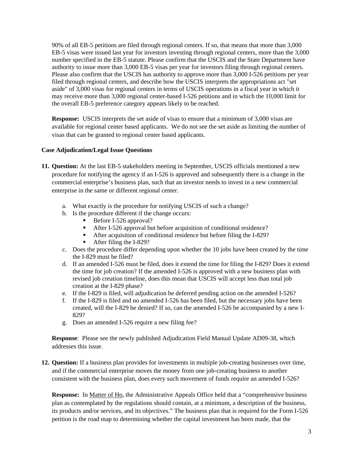90% of all EB-5 petitions are filed through regional centers. If so, that means that more than 3,000 EB-5 visas were issued last year for investors investing through regional centers, more than the 3,000 number specified in the EB-5 statute. Please confirm that the USCIS and the State Department have authority to issue more than 3,000 EB-5 visas per year for investors filing through regional centers. Please also confirm that the USCIS has authority to approve more than 3,000 I-526 petitions per year filed through regional centers, and describe how the USCIS interprets the appropriations act "set aside" of 3,000 visas for regional centers in terms of USCIS operations in a fiscal year in which it may receive more than 3,000 regional center-based I-526 petitions and in which the 10,000 limit for the overall EB-5 preference category appears likely to be reached.

**Response:** USCIS interprets the set aside of visas to ensure that a minimum of 3,000 visas are available for regional center based applicants. We do not see the set aside as limiting the number of visas that can be granted to regional center based applicants.

# **Case Adjudication/Legal Issue Questions**

- **11. Question:** At the last EB-5 stakeholders meeting in September, USCIS officials mentioned a new procedure for notifying the agency if an I-526 is approved and subsequently there is a change in the commercial enterprise's business plan, such that an investor needs to invest in a new commercial enterprise in the same or different regional center.
	- a. What exactly is the procedure for notifying USCIS of such a change?
	- b. Is the procedure different if the change occurs:
		- Before I-526 approval?
		- After I-526 approval but before acquisition of conditional residence?
		- After acquisition of conditional residence but before filing the I-829?
		- After filing the I-829?
	- c. Does the procedure differ depending upon whether the 10 jobs have been created by the time the I-829 must be filed?
	- d. If an amended I-526 must be filed, does it extend the time for filing the I-829? Does it extend the time for job creation? If the amended I-526 is approved with a new business plan with revised job creation timeline, does this mean that USCIS will accept less than total job creation at the I-829 phase?
	- e. If the I-829 is filed, will adjudication be deferred pending action on the amended I-526?
	- f. If the I-829 is filed and no amended I-526 has been filed, but the necessary jobs have been created, will the I-829 be denied? If so, can the amended I-526 be accompanied by a new I-829?
	- g. Does an amended I-526 require a new filing fee?

**Response**: Please see the newly published Adjudication Field Manual Update AD09-38, which addresses this issue.

**12. Question:** If a business plan provides for investments in multiple job-creating businesses over time, and if the commercial enterprise moves the money from one job-creating business to another consistent with the business plan, does every such movement of funds require an amended I-526?

**Response:** In Matter of Ho, the Administrative Appeals Office held that a "comprehensive business plan as contemplated by the regulations should contain, at a minimum, a description of the business, its products and/or services, and its objectives." The business plan that is required for the Form I-526 petition is the road map to determining whether the capital investment has been made, that the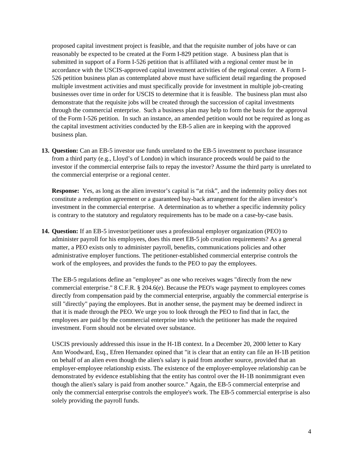proposed capital investment project is feasible, and that the requisite number of jobs have or can reasonably be expected to be created at the Form I-829 petition stage. A business plan that is submitted in support of a Form I-526 petition that is affiliated with a regional center must be in accordance with the USCIS-approved capital investment activities of the regional center. A Form I-526 petition business plan as contemplated above must have sufficient detail regarding the proposed multiple investment activities and must specifically provide for investment in multiple job-creating businesses over time in order for USCIS to determine that it is feasible. The business plan must also demonstrate that the requisite jobs will be created through the succession of capital investments through the commercial enterprise. Such a business plan may help to form the basis for the approval of the Form I-526 petition. In such an instance, an amended petition would not be required as long as the capital investment activities conducted by the EB-5 alien are in keeping with the approved business plan.

**13. Question:** Can an EB-5 investor use funds unrelated to the EB-5 investment to purchase insurance from a third party (e.g., Lloyd's of London) in which insurance proceeds would be paid to the investor if the commercial enterprise fails to repay the investor? Assume the third party is unrelated to the commercial enterprise or a regional center.

**Response:** Yes, as long as the alien investor's capital is "at risk", and the indemnity policy does not constitute a redemption agreement or a guaranteed buy-back arrangement for the alien investor's investment in the commercial enterprise. A determination as to whether a specific indemnity policy is contrary to the statutory and regulatory requirements has to be made on a case-by-case basis.

**14. Question:** If an EB-5 investor/petitioner uses a professional employer organization (PEO) to administer payroll for his employees, does this meet EB-5 job creation requirements? As a general matter, a PEO exists only to administer payroll, benefits, communications policies and other administrative employer functions. The petitioner-established commercial enterprise controls the work of the employees, and provides the funds to the PEO to pay the employees.

The EB-5 regulations define an "employee" as one who receives wages "directly from the new commercial enterprise." 8 C.F.R. § 204.6(e). Because the PEO's wage payment to employees comes directly from compensation paid by the commercial enterprise, arguably the commercial enterprise is still "directly" paying the employees. But in another sense, the payment may be deemed indirect in that it is made through the PEO. We urge you to look through the PEO to find that in fact, the employees are paid by the commercial enterprise into which the petitioner has made the required investment. Form should not be elevated over substance.

USCIS previously addressed this issue in the H-1B context. In a December 20, 2000 letter to Kary Ann Woodward, Esq., Efren Hernandez opined that "it is clear that an entity can file an H-1B petition on behalf of an alien even though the alien's salary is paid from another source, provided that an employer-employee relationship exists. The existence of the employer-employee relationship can be demonstrated by evidence establishing that the entity has control over the H-1B nonimmigrant even though the alien's salary is paid from another source." Again, the EB-5 commercial enterprise and only the commercial enterprise controls the employee's work. The EB-5 commercial enterprise is also solely providing the payroll funds.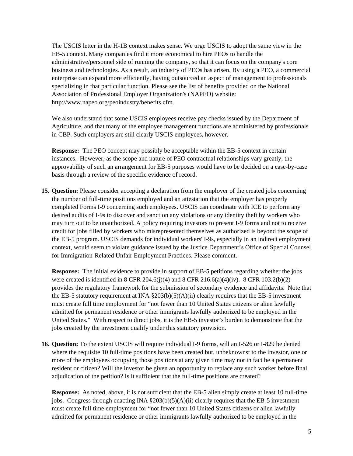The USCIS letter in the H-1B context makes sense. We urge USCIS to adopt the same view in the EB-5 context. Many companies find it more economical to hire PEOs to handle the administrative/personnel side of running the company, so that it can focus on the company's core business and technologies. As a result, an industry of PEOs has arisen. By using a PEO, a commercial enterprise can expand more efficiently, having outsourced an aspect of management to professionals specializing in that particular function. Please see the list of benefits provided on the National Association of Professional Employer Organization's (NAPEO) website: <http://www.napeo.org/peoindustry/benefits.cfm>.

We also understand that some USCIS employees receive pay checks issued by the Department of Agriculture, and that many of the employee management functions are administered by professionals in CBP. Such employers are still clearly USCIS employees, however.

**Response:** The PEO concept may possibly be acceptable within the EB-5 context in certain instances. However, as the scope and nature of PEO contractual relationships vary greatly, the approvability of such an arrangement for EB-5 purposes would have to be decided on a case-by-case basis through a review of the specific evidence of record.

**15. Question:** Please consider accepting a declaration from the employer of the created jobs concerning the number of full-time positions employed and an attestation that the employer has properly completed Forms I-9 concerning such employees. USCIS can coordinate with ICE to perform any desired audits of I-9s to discover and sanction any violations or any identity theft by workers who may turn out to be unauthorized. A policy requiring investors to present I-9 forms and not to receive credit for jobs filled by workers who misrepresented themselves as authorized is beyond the scope of the EB-5 program. USCIS demands for individual workers' I-9s, especially in an indirect employment context, would seem to violate guidance issued by the Justice Department's Office of Special Counsel for Immigration-Related Unfair Employment Practices. Please comment.

**Response:** The initial evidence to provide in support of EB-5 petitions regarding whether the jobs were created is identified in 8 CFR 204.6(j)(4) and 8 CFR 216.6(a)(4)(iv). 8 CFR 103.2(b)(2) provides the regulatory framework for the submission of secondary evidence and affidavits. Note that the EB-5 statutory requirement at INA  $\S 203(b)(5)(A)(ii)$  clearly requires that the EB-5 investment must create full time employment for "not fewer than 10 United States citizens or alien lawfully admitted for permanent residence or other immigrants lawfully authorized to be employed in the United States." With respect to direct jobs, it is the EB-5 investor's burden to demonstrate that the jobs created by the investment qualify under this statutory provision.

**16. Question:** To the extent USCIS will require individual I-9 forms, will an I-526 or I-829 be denied where the requisite 10 full-time positions have been created but, unbeknownst to the investor, one or more of the employees occupying those positions at any given time may not in fact be a permanent resident or citizen? Will the investor be given an opportunity to replace any such worker before final adjudication of the petition? Is it sufficient that the full-time positions are created?

**Response:** As noted, above, it is not sufficient that the EB-5 alien simply create at least 10 full-time jobs. Congress through enacting INA  $\S 203(b)(5)(A)(ii)$  clearly requires that the EB-5 investment must create full time employment for "not fewer than 10 United States citizens or alien lawfully admitted for permanent residence or other immigrants lawfully authorized to be employed in the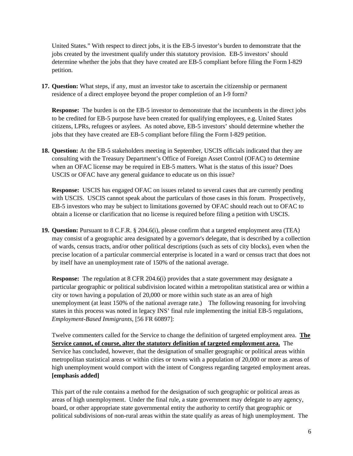United States." With respect to direct jobs, it is the EB-5 investor's burden to demonstrate that the jobs created by the investment qualify under this statutory provision. EB-5 investors' should determine whether the jobs that they have created are EB-5 compliant before filing the Form I-829 petition.

**17. Question:** What steps, if any, must an investor take to ascertain the citizenship or permanent residence of a direct employee beyond the proper completion of an I-9 form?

**Response:** The burden is on the EB-5 investor to demonstrate that the incumbents in the direct jobs to be credited for EB-5 purpose have been created for qualifying employees, e.g. United States citizens, LPRs, refugees or asylees. As noted above, EB-5 investors' should determine whether the jobs that they have created are EB-5 compliant before filing the Form I-829 petition.

**18. Question:** At the EB-5 stakeholders meeting in September, USCIS officials indicated that they are consulting with the Treasury Department's Office of Foreign Asset Control (OFAC) to determine when an OFAC license may be required in EB-5 matters. What is the status of this issue? Does USCIS or OFAC have any general guidance to educate us on this issue?

**Response:** USCIS has engaged OFAC on issues related to several cases that are currently pending with USCIS. USCIS cannot speak about the particulars of those cases in this forum. Prospectively, EB-5 investors who may be subject to limitations governed by OFAC should reach out to OFAC to obtain a license or clarification that no license is required before filing a petition with USCIS.

**19. Question:** Pursuant to 8 C.F.R. § 204.6(i), please confirm that a targeted employment area (TEA) may consist of a geographic area designated by a governor's delegate, that is described by a collection of wards, census tracts, and/or other political descriptions (such as sets of city blocks), even when the precise location of a particular commercial enterprise is located in a ward or census tract that does not by itself have an unemployment rate of 150% of the national average.

**Response:** The regulation at 8 CFR 204.6(i) provides that a state government may designate a particular geographic or political subdivision located within a metropolitan statistical area or within a city or town having a population of 20,000 or more within such state as an area of high unemployment (at least 150% of the national average rate.) The following reasoning for involving states in this process was noted in legacy INS' final rule implementing the initial EB-5 regulations, *Employment-Based Immigrants*, [56 FR 60897]:

Twelve commenters called for the Service to change the definition of targeted employment area. **The Service cannot, of course, alter the statutory definition of targeted employment area.** The Service has concluded, however, that the designation of smaller geographic or political areas within metropolitan statistical areas or within cities or towns with a population of 20,000 or more as areas of high unemployment would comport with the intent of Congress regarding targeted employment areas. **[emphasis added]** 

This part of the rule contains a method for the designation of such geographic or political areas as areas of high unemployment. Under the final rule, a state government may delegate to any agency, board, or other appropriate state governmental entity the authority to certify that geographic or political subdivisions of non-rural areas within the state qualify as areas of high unemployment. The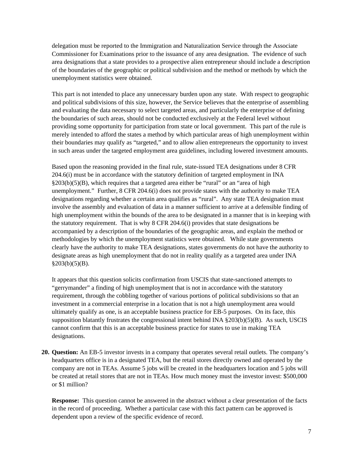delegation must be reported to the Immigration and Naturalization Service through the Associate Commissioner for Examinations prior to the issuance of any area designation. The evidence of such area designations that a state provides to a prospective alien entrepreneur should include a description of the boundaries of the geographic or political subdivision and the method or methods by which the unemployment statistics were obtained.

This part is not intended to place any unnecessary burden upon any state. With respect to geographic and political subdivisions of this size, however, the Service believes that the enterprise of assembling and evaluating the data necessary to select targeted areas, and particularly the enterprise of defining the boundaries of such areas, should not be conducted exclusively at the Federal level without providing some opportunity for participation from state or local government. This part of the rule is merely intended to afford the states a method by which particular areas of high unemployment within their boundaries may qualify as "targeted," and to allow alien entrepreneurs the opportunity to invest in such areas under the targeted employment area guidelines, including lowered investment amounts.

Based upon the reasoning provided in the final rule, state-issued TEA designations under 8 CFR 204.6(i) must be in accordance with the statutory definition of targeted employment in INA  $\S203(b)(5)(B)$ , which requires that a targeted area either be "rural" or an "area of high unemployment." Further, 8 CFR 204.6(i) does not provide states with the authority to make TEA designations regarding whether a certain area qualifies as "rural". Any state TEA designation must involve the assembly and evaluation of data in a manner sufficient to arrive at a defensible finding of high unemployment within the bounds of the area to be designated in a manner that is in keeping with the statutory requirement. That is why  $8$  CFR 204.6(i) provides that state designations be accompanied by a description of the boundaries of the geographic areas, and explain the method or methodologies by which the unemployment statistics were obtained. While state governments clearly have the authority to make TEA designations, states governments do not have the authority to designate areas as high unemployment that do not in reality qualify as a targeted area under INA  $§203(b)(5)(B).$ 

It appears that this question solicits confirmation from USCIS that state-sanctioned attempts to "gerrymander" a finding of high unemployment that is not in accordance with the statutory requirement, through the cobbling together of various portions of political subdivisions so that an investment in a commercial enterprise in a location that is not a high unemployment area would ultimately qualify as one, is an acceptable business practice for EB-5 purposes. On its face, this supposition blatantly frustrates the congressional intent behind INA §203(b)(5)(B). As such, USCIS cannot confirm that this is an acceptable business practice for states to use in making TEA designations.

**20. Question:** An EB-5 investor invests in a company that operates several retail outlets. The company's headquarters office is in a designated TEA, but the retail stores directly owned and operated by the company are not in TEAs. Assume 5 jobs will be created in the headquarters location and 5 jobs will be created at retail stores that are not in TEAs. How much money must the investor invest: \$500,000 or \$1 million?

**Response:** This question cannot be answered in the abstract without a clear presentation of the facts in the record of proceeding. Whether a particular case with this fact pattern can be approved is dependent upon a review of the specific evidence of record.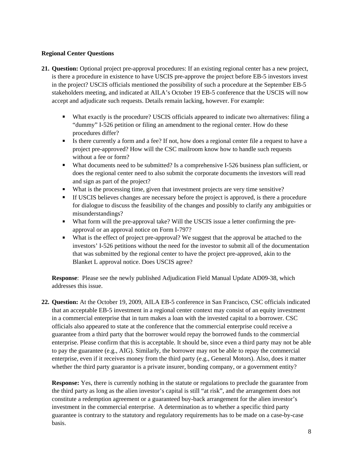# **Regional Center Questions**

- **21. Question:** Optional project pre-approval procedures: If an existing regional center has a new project, is there a procedure in existence to have USCIS pre-approve the project before EB-5 investors invest in the project? USCIS officials mentioned the possibility of such a procedure at the September EB-5 stakeholders meeting, and indicated at AILA's October 19 EB-5 conference that the USCIS will now accept and adjudicate such requests. Details remain lacking, however. For example:
	- What exactly is the procedure? USCIS officials appeared to indicate two alternatives: filing a "dummy" I-526 petition or filing an amendment to the regional center. How do these procedures differ?
	- $\blacksquare$  Is there currently a form and a fee? If not, how does a regional center file a request to have a project pre-approved? How will the CSC mailroom know how to handle such requests without a fee or form?
	- What documents need to be submitted? Is a comprehensive I-526 business plan sufficient, or does the regional center need to also submit the corporate documents the investors will read and sign as part of the project?
	- What is the processing time, given that investment projects are very time sensitive?
	- If USCIS believes changes are necessary before the project is approved, is there a procedure for dialogue to discuss the feasibility of the changes and possibly to clarify any ambiguities or misunderstandings?
	- What form will the pre-approval take? Will the USCIS issue a letter confirming the preapproval or an approval notice on Form I-797?
	- What is the effect of project pre-approval? We suggest that the approval be attached to the investors' I-526 petitions without the need for the investor to submit all of the documentation that was submitted by the regional center to have the project pre-approved, akin to the Blanket L approval notice. Does USCIS agree?

**Response**: Please see the newly published Adjudication Field Manual Update AD09-38, which addresses this issue.

**22. Question:** At the October 19, 2009, AILA EB-5 conference in San Francisco, CSC officials indicated that an acceptable EB-5 investment in a regional center context may consist of an equity investment in a commercial enterprise that in turn makes a loan with the invested capital to a borrower. CSC officials also appeared to state at the conference that the commercial enterprise could receive a guarantee from a third party that the borrower would repay the borrowed funds to the commercial enterprise. Please confirm that this is acceptable. It should be, since even a third party may not be able to pay the guarantee (e.g., AIG). Similarly, the borrower may not be able to repay the commercial enterprise, even if it receives money from the third party (e.g., General Motors). Also, does it matter whether the third party guarantor is a private insurer, bonding company, or a government entity?

**Response:** Yes, there is currently nothing in the statute or regulations to preclude the guarantee from the third party as long as the alien investor's capital is still "at risk", and the arrangement does not constitute a redemption agreement or a guaranteed buy-back arrangement for the alien investor's investment in the commercial enterprise. A determination as to whether a specific third party guarantee is contrary to the statutory and regulatory requirements has to be made on a case-by-case basis.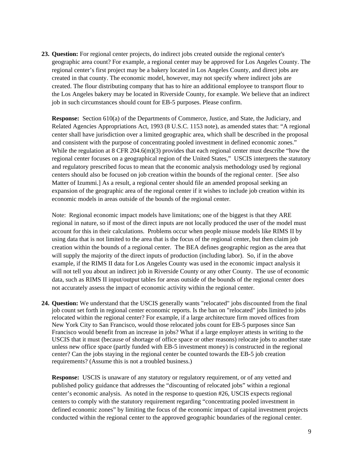**23. Question:** For regional center projects, do indirect jobs created outside the regional center's geographic area count? For example, a regional center may be approved for Los Angeles County. The regional center's first project may be a bakery located in Los Angeles County, and direct jobs are created in that county. The economic model, however, may not specify where indirect jobs are created. The flour distributing company that has to hire an additional employee to transport flour to the Los Angeles bakery may be located in Riverside County, for example. We believe that an indirect job in such circumstances should count for EB-5 purposes. Please confirm.

**Response:** Section 610(a) of the Departments of Commerce, Justice, and State, the Judiciary, and Related Agencies Appropriations Act, 1993 (8 U.S.C. 1153 note), as amended states that: "A regional center shall have jurisdiction over a limited geographic area, which shall be described in the proposal and consistent with the purpose of concentrating pooled investment in defined economic zones." While the regulation at 8 CFR 204.6(m)(3) provides that each regional center must describe "how the regional center focuses on a geographical region of the United States," USCIS interprets the statutory and regulatory prescribed focus to mean that the economic analysis methodology used by regional centers should also be focused on job creation within the bounds of the regional center. [See also Matter of Izummi.] As a result, a regional center should file an amended proposal seeking an expansion of the geographic area of the regional center if it wishes to include job creation within its economic models in areas outside of the bounds of the regional center.

Note: Regional economic impact models have limitations; one of the biggest is that they ARE regional in nature, so if most of the direct inputs are not locally produced the user of the model must account for this in their calculations. Problems occur when people misuse models like RIMS II by using data that is not limited to the area that is the focus of the regional center, but then claim job creation within the bounds of a regional center. The BEA defines geographic region as the area that will supply the majority of the direct inputs of production (including labor). So, if in the above example, if the RIMS II data for Los Angeles County was used in the economic impact analysis it will not tell you about an indirect job in Riverside County or any other County. The use of economic data, such as RIMS II input/output tables for areas outside of the bounds of the regional center does not accurately assess the impact of economic activity within the regional center.

**24. Question:** We understand that the USCIS generally wants "relocated" jobs discounted from the final job count set forth in regional center economic reports. Is the ban on "relocated" jobs limited to jobs relocated within the regional center? For example, if a large architecture firm moved offices from New York City to San Francisco, would those relocated jobs count for EB-5 purposes since San Francisco would benefit from an increase in jobs? What if a large employer attests in writing to the USCIS that it must (because of shortage of office space or other reasons) relocate jobs to another state unless new office space (partly funded with EB-5 investment money) is constructed in the regional center? Can the jobs staying in the regional center be counted towards the EB-5 job creation requirements? (Assume this is not a troubled business.)

**Response:** USCIS is unaware of any statutory or regulatory requirement, or of any vetted and published policy guidance that addresses the "discounting of relocated jobs" within a regional center's economic analysis. As noted in the response to question #26, USCIS expects regional centers to comply with the statutory requirement regarding "concentrating pooled investment in defined economic zones" by limiting the focus of the economic impact of capital investment projects conducted within the regional center to the approved geographic boundaries of the regional center.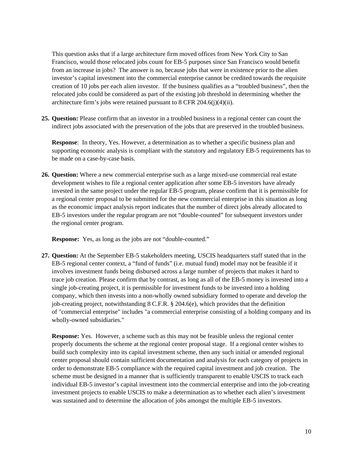This question asks that if a large architecture firm moved offices from New York City to San Francisco, would those relocated jobs count for EB-5 purposes since San Francisco would benefit from an increase in jobs? The answer is no, because jobs that were in existence prior to the alien investor's capital investment into the commercial enterprise cannot be credited towards the requisite creation of 10 jobs per each alien investor. If the business qualifies as a "troubled business", then the relocated jobs could be considered as part of the existing job threshold in determining whether the architecture firm's jobs were retained pursuant to  $8$  CFR 204.6(j)(4)(ii).

**25. Question:** Please confirm that an investor in a troubled business in a regional center can count the indirect jobs associated with the preservation of the jobs that are preserved in the troubled business.

**Response**: In theory, Yes. However, a determination as to whether a specific business plan and supporting economic analysis is compliant with the statutory and regulatory EB-5 requirements has to be made on a case-by-case basis.

**26. Question:** Where a new commercial enterprise such as a large mixed-use commercial real estate development wishes to file a regional center application after some EB-5 investors have already invested in the same project under the regular EB-5 program, please confirm that it is permissible for a regional center proposal to be submitted for the new commercial enterprise in this situation as long as the economic impact analysis report indicates that the number of direct jobs already allocated to EB-5 investors under the regular program are not "double-counted" for subsequent investors under the regional center program.

**Response:** Yes, as long as the jobs are not "double-counted."

**27. Question:** At the September EB-5 stakeholders meeting, USCIS headquarters staff stated that in the EB-5 regional center context, a "fund of funds" (i.e. mutual fund) model may not be feasible if it involves investment funds being disbursed across a large number of projects that makes it hard to trace job creation. Please confirm that by contrast, as long as all of the EB-5 money is invested into a single job-creating project, it is permissible for investment funds to be invested into a holding company, which then invests into a non-wholly owned subsidiary formed to operate and develop the job-creating project, notwithstanding 8 C.F.R. § 204.6(e), which provides that the definition of "commercial enterprise" includes "a commercial enterprise consisting of a holding company and its wholly-owned subsidiaries."

**Response:** Yes. However, a scheme such as this may not be feasible unless the regional center properly documents the scheme at the regional center proposal stage. If a regional center wishes to build such complexity into its capital investment scheme, then any such initial or amended regional center proposal should contain sufficient documentation and analysis for each category of projects in order to demonstrate EB-5 compliance with the required capital investment and job creation. The scheme must be designed in a manner that is sufficiently transparent to enable USCIS to track each individual EB-5 investor's capital investment into the commercial enterprise and into the job-creating investment projects to enable USCIS to make a determination as to whether each alien's investment was sustained and to determine the allocation of jobs amongst the multiple EB-5 investors.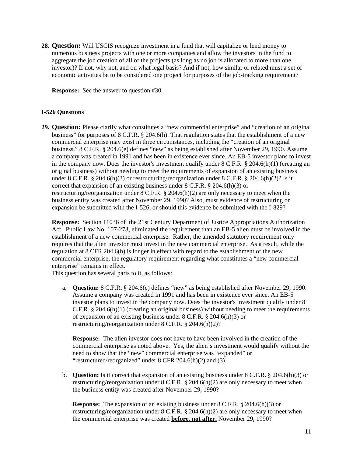**28. Question:** Will USCIS recognize investment in a fund that will capitalize or lend money to numerous business projects with one or more companies and allow the investors in the fund to aggregate the job creation of all of the projects (as long as no job is allocated to more than one investor)? If not, why not, and on what legal basis? And if not, how similar or related must a set of economic activities be to be considered one project for purposes of the job-tracking requirement?

**Response:** See the answer to question #30.

# **I-526 Questions**

**29. Question:** Please clarify what constitutes a "new commercial enterprise" and "creation of an original business" for purposes of 8 C.F.R. § 204.6(h). That regulation states that the establishment of a new commercial enterprise may exist in three circumstances, including the "creation of an original business." 8 C.F.R. § 204.6(e) defines "new" as being established after November 29, 1990. Assume a company was created in 1991 and has been in existence ever since. An EB-5 investor plans to invest in the company now. Does the investor's investment qualify under  $8 \text{ C.F.R.} \$   $204.6(h)(1)$  (creating an original business) without needing to meet the requirements of expansion of an existing business under 8 C.F.R. § 204.6(h)(3) or restructuring/reorganization under 8 C.F.R. § 204.6(h)(2)? Is it correct that expansion of an existing business under 8 C.F.R. § 204.6(h)(3) or restructuring/reorganization under 8 C.F.R. § 204.6(h)(2) are only necessary to meet when the business entity was created after November 29, 1990? Also, must evidence of restructuring or expansion be submitted with the I-526, or should this evidence be submitted with the I-829?

**Response:** Section 11036 of the 21st Century Department of Justice Appropriations Authorization Act, Public Law No. 107-273, eliminated the requirement than an EB-5 alien must be involved in the establishment of a new commercial enterprise. Rather, the amended statutory requirement only requires that the alien investor must invest in the new commercial enterprise. As a result, while the regulation at 8 CFR 204.6(h) is longer in effect with regard to the establishment of the new commercial enterprise, the regulatory requirement regarding what constitutes a "new commercial enterprise" remains in effect.

This question has several parts to it, as follows:

a. **Question:** 8 C.F.R. § 204.6(e) defines "new" as being established after November 29, 1990. Assume a company was created in 1991 and has been in existence ever since. An EB-5 investor plans to invest in the company now. Does the investor's investment qualify under 8 C.F.R. § 204.6(h)(1) (creating an original business) without needing to meet the requirements of expansion of an existing business under 8 C.F.R. § 204.6(h)(3) or restructuring/reorganization under 8 C.F.R. § 204.6(h)(2)?

**Response:** The alien investor does not have to have been involved in the creation of the commercial enterprise as noted above. Yes, the alien's investment would qualify without the need to show that the "new" commercial enterprise was "expanded" or "restructured/reorganized" under 8 CFR 204.6(h)(2) and (3).

b. **Question:** Is it correct that expansion of an existing business under 8 C.F.R. § 204.6(h)(3) or restructuring/reorganization under 8 C.F.R. § 204.6(h)(2) are only necessary to meet when the business entity was created after November 29, 1990?

**Response:** The expansion of an existing business under 8 C.F.R. § 204.6(h)(3) or restructuring/reorganization under 8 C.F.R. § 204.6(h)(2) are only necessary to meet when the commercial enterprise was created **before**, **not after,** November 29, 1990?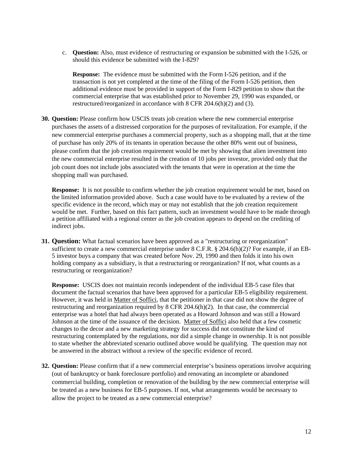c. **Question:** Also, must evidence of restructuring or expansion be submitted with the I-526, or should this evidence be submitted with the I-829?

**Response:** The evidence must be submitted with the Form I-526 petition, and if the transaction is not yet completed at the time of the filing of the Form I-526 petition, then additional evidence must be provided in support of the Form I-829 petition to show that the commercial enterprise that was established prior to November 29, 1990 was expanded, or restructured/reorganized in accordance with 8 CFR 204.6(h)(2) and (3).

**30. Question:** Please confirm how USCIS treats job creation where the new commercial enterprise purchases the assets of a distressed corporation for the purposes of revitalization. For example, if the new commercial enterprise purchases a commercial property, such as a shopping mall, that at the time of purchase has only 20% of its tenants in operation because the other 80% went out of business, please confirm that the job creation requirement would be met by showing that alien investment into the new commercial enterprise resulted in the creation of 10 jobs per investor, provided only that the job count does not include jobs associated with the tenants that were in operation at the time the shopping mall was purchased.

**Response:** It is not possible to confirm whether the job creation requirement would be met, based on the limited information provided above. Such a case would have to be evaluated by a review of the specific evidence in the record, which may or may not establish that the job creation requirement would be met. Further, based on this fact pattern, such an investment would have to be made through a petition affiliated with a regional center as the job creation appears to depend on the crediting of indirect jobs.

**31. Ouestion:** What factual scenarios have been approved as a "restructuring or reorganization" sufficient to create a new commercial enterprise under  $8 \text{ C.F.R.}$   $\S$  204.6(h)(2)? For example, if an EB-5 investor buys a company that was created before Nov. 29, 1990 and then folds it into his own holding company as a subsidiary, is that a restructuring or reorganization? If not, what counts as a restructuring or reorganization?

**Response:** USCIS does not maintain records independent of the individual EB-5 case files that document the factual scenarios that have been approved for a particular EB-5 eligibility requirement. However, it was held in Matter of Soffici, that the petitioner in that case did not show the degree of restructuring and reorganization required by  $8$  CFR 204.6(h)(2). In that case, the commercial enterprise was a hotel that had always been operated as a Howard Johnson and was still a Howard Johnson at the time of the issuance of the decision. Matter of Soffici also held that a few cosmetic changes to the decor and a new marketing strategy for success did not constitute the kind of restructuring contemplated by the regulations, nor did a simple change in ownership. It is not possible to state whether the abbreviated scenario outlined above would be qualifying. The question may not be answered in the abstract without a review of the specific evidence of record.

**32. Question:** Please confirm that if a new commercial enterprise's business operations involve acquiring (out of bankruptcy or bank foreclosure portfolio) and renovating an incomplete or abandoned commercial building, completion or renovation of the building by the new commercial enterprise will be treated as a new business for EB-5 purposes. If not, what arrangements would be necessary to allow the project to be treated as a new commercial enterprise?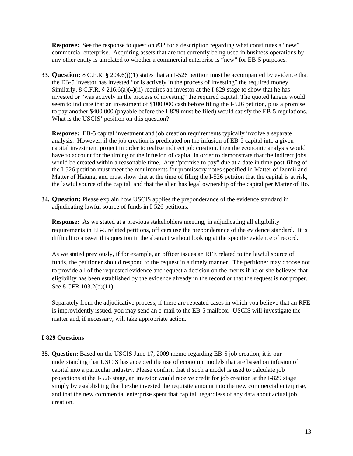**Response:** See the response to question #32 for a description regarding what constitutes a "new" commercial enterprise. Acquiring assets that are not currently being used in business operations by any other entity is unrelated to whether a commercial enterprise is "new" for EB-5 purposes.

**33. Question:** 8 C.F.R. § 204.6(j)(1) states that an I-526 petition must be accompanied by evidence that the EB-5 investor has invested "or is actively in the process of investing" the required money. Similarly, 8 C.F.R. § 216.6(a)(4)(ii) requires an investor at the I-829 stage to show that he has invested or "was actively in the process of investing" the required capital. The quoted langue would seem to indicate that an investment of \$100,000 cash before filing the I-526 petition, plus a promise to pay another \$400,000 (payable before the I-829 must be filed) would satisfy the EB-5 regulations. What is the USCIS' position on this question?

**Response:** EB-5 capital investment and job creation requirements typically involve a separate analysis. However, if the job creation is predicated on the infusion of EB-5 capital into a given capital investment project in order to realize indirect job creation, then the economic analysis would have to account for the timing of the infusion of capital in order to demonstrate that the indirect jobs would be created within a reasonable time. Any "promise to pay" due at a date in time post-filing of the I-526 petition must meet the requirements for promissory notes specified in Matter of Izumii and Matter of Hsiung, and must show that at the time of filing the I-526 petition that the capital is at risk, the lawful source of the capital, and that the alien has legal ownership of the capital per Matter of Ho.

**34. Question:** Please explain how USCIS applies the preponderance of the evidence standard in adjudicating lawful source of funds in I-526 petitions.

**Response:** As we stated at a previous stakeholders meeting, in adjudicating all eligibility requirements in EB-5 related petitions, officers use the preponderance of the evidence standard. It is difficult to answer this question in the abstract without looking at the specific evidence of record.

As we stated previously, if for example, an officer issues an RFE related to the lawful source of funds, the petitioner should respond to the request in a timely manner. The petitioner may choose not to provide all of the requested evidence and request a decision on the merits if he or she believes that eligibility has been established by the evidence already in the record or that the request is not proper. See 8 CFR 103.2(b)(11).

Separately from the adjudicative process, if there are repeated cases in which you believe that an RFE is improvidently issued, you may send an e-mail to the EB-5 mailbox. USCIS will investigate the matter and, if necessary, will take appropriate action.

# **I-829 Questions**

**35. Question:** Based on the USCIS June 17, 2009 memo regarding EB-5 job creation, it is our understanding that USCIS has accepted the use of economic models that are based on infusion of capital into a particular industry. Please confirm that if such a model is used to calculate job projections at the I-526 stage, an investor would receive credit for job creation at the I-829 stage simply by establishing that he/she invested the requisite amount into the new commercial enterprise, and that the new commercial enterprise spent that capital, regardless of any data about actual job creation.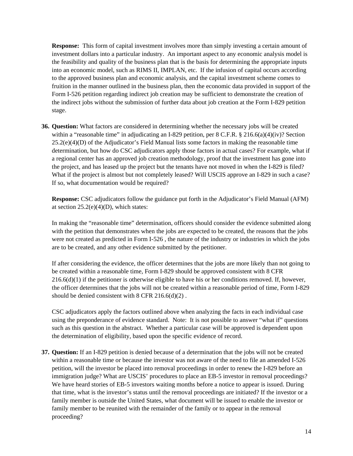**Response:** This form of capital investment involves more than simply investing a certain amount of investment dollars into a particular industry. An important aspect to any economic analysis model is the feasibility and quality of the business plan that is the basis for determining the appropriate inputs into an economic model, such as RIMS II, IMPLAN, etc. If the infusion of capital occurs according to the approved business plan and economic analysis, and the capital investment scheme comes to fruition in the manner outlined in the business plan, then the economic data provided in support of the Form I-526 petition regarding indirect job creation may be sufficient to demonstrate the creation of the indirect jobs without the submission of further data about job creation at the Form I-829 petition stage.

**36. Question:** What factors are considered in determining whether the necessary jobs will be created within a "reasonable time" in adjudicating an I-829 petition, per  $8 \text{ C.F.R.}$   $\frac{8}{216.6(a)(4)(iv)}$ ? Section  $25.2(e)(4)(D)$  of the Adjudicator's Field Manual lists some factors in making the reasonable time determination, but how do CSC adjudicators apply those factors in actual cases? For example, what if a regional center has an approved job creation methodology, proof that the investment has gone into the project, and has leased up the project but the tenants have not moved in when the I-829 is filed? What if the project is almost but not completely leased? Will USCIS approve an I-829 in such a case? If so, what documentation would be required?

**Response:** CSC adjudicators follow the guidance put forth in the Adjudicator's Field Manual (AFM) at section  $25.2(e)(4)(D)$ , which states:

In making the "reasonable time" determination, officers should consider the evidence submitted along with the petition that demonstrates when the jobs are expected to be created, the reasons that the jobs were not created as predicted in Form I-526 , the nature of the industry or industries in which the jobs are to be created, and any other evidence submitted by the petitioner.

If after considering the evidence, the officer determines that the jobs are more likely than not going to be created within a reasonable time, Form I-829 should be approved consistent with 8 CFR  $216.6(d)(1)$  if the petitioner is otherwise eligible to have his or her conditions removed. If, however, the officer determines that the jobs will not be created within a reasonable period of time, Form I-829 should be denied consistent with 8 CFR 216.6(d)(2) .

CSC adjudicators apply the factors outlined above when analyzing the facts in each individual case using the preponderance of evidence standard. Note: It is not possible to answer "what if" questions such as this question in the abstract. Whether a particular case will be approved is dependent upon the determination of eligibility, based upon the specific evidence of record.

**37. Question:** If an I-829 petition is denied because of a determination that the jobs will not be created within a reasonable time or because the investor was not aware of the need to file an amended I-526 petition, will the investor be placed into removal proceedings in order to renew the I-829 before an immigration judge? What are USCIS' procedures to place an EB-5 investor in removal proceedings? We have heard stories of EB-5 investors waiting months before a notice to appear is issued. During that time, what is the investor's status until the removal proceedings are initiated? If the investor or a family member is outside the United States, what document will be issued to enable the investor or family member to be reunited with the remainder of the family or to appear in the removal proceeding?